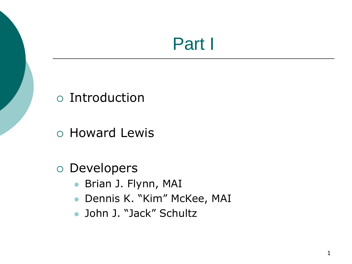# Part I

#### Introduction

Howard Lewis

#### Developers

- Brian J. Flynn, MAI
- Dennis K. "Kim" McKee, MAI
- John J. "Jack" Schultz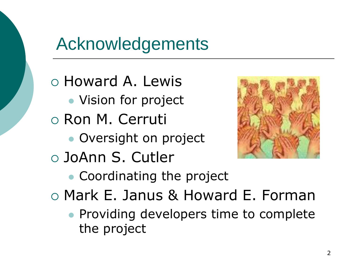### Acknowledgements

 Howard A. Lewis • Vision for project Ron M. Cerruti Oversight on project JoAnn S. Cutler • Coordinating the project



Mark E. Janus & Howard E. Forman

**• Providing developers time to complete** the project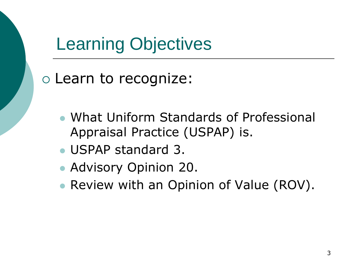# Learning Objectives

#### Learn to recognize:

- What Uniform Standards of Professional Appraisal Practice (USPAP) is.
- USPAP standard 3.
- Advisory Opinion 20.
- Review with an Opinion of Value (ROV).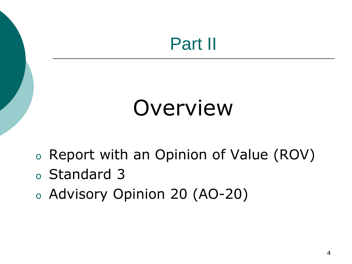# Part II

# Overview

- <sup>o</sup> Report with an Opinion of Value (ROV)
- <sup>o</sup> Standard 3
- <sup>o</sup> Advisory Opinion 20 (AO-20)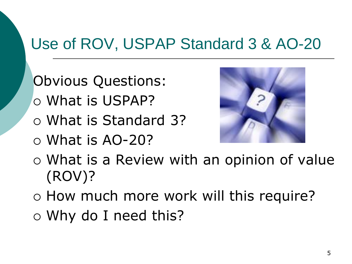#### Use of ROV, USPAP Standard 3 & AO-20

- Obvious Questions:
- What is USPAP?
- What is Standard 3?
- $\circ$  What is AO-20?



- What is a Review with an opinion of value (ROV)?
- o How much more work will this require?
- Why do I need this?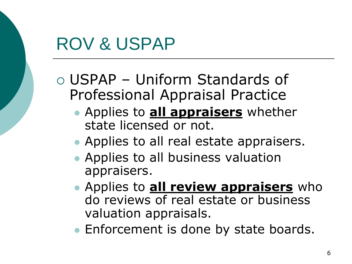### ROV & USPAP

- USPAP Uniform Standards of Professional Appraisal Practice
	- Applies to **all appraisers** whether state licensed or not.
	- Applies to all real estate appraisers.
	- Applies to all business valuation appraisers.
	- Applies to **all review appraisers** who do reviews of real estate or business valuation appraisals.
	- **Enforcement is done by state boards.**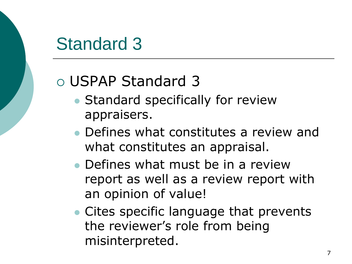# Standard 3

#### USPAP Standard 3

- **Standard specifically for review** appraisers.
- Defines what constitutes a review and what constitutes an appraisal.
- Defines what must be in a review report as well as a review report with an opinion of value!
- Cites specific language that prevents the reviewer's role from being misinterpreted.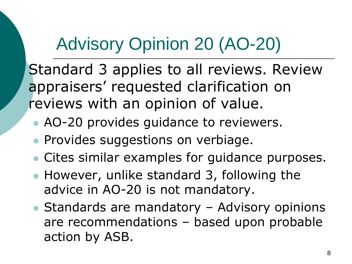# Advisory Opinion 20 (AO-20)

 Standard 3 applies to all reviews. Review appraisers' requested clarification on reviews with an opinion of value.

- AO-20 provides guidance to reviewers.
- **Provides suggestions on verbiage.**
- Cites similar examples for guidance purposes.
- However, unlike standard 3, following the advice in AO-20 is not mandatory.
- Standards are mandatory Advisory opinions are recommendations – based upon probable action by ASB.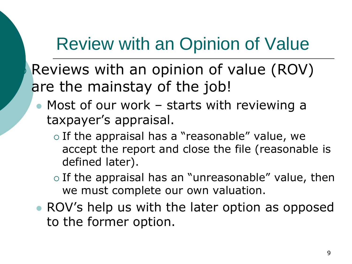# Review with an Opinion of Value

 Reviews with an opinion of value (ROV) are the mainstay of the job!

- Most of our work starts with reviewing a taxpayer's appraisal.
	- $\circ$  If the appraisal has a "reasonable" value, we accept the report and close the file (reasonable is defined later).
	- $\circ$  If the appraisal has an "unreasonable" value, then we must complete our own valuation.
- ROV's help us with the later option as opposed to the former option.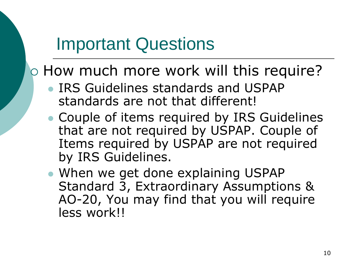### Important Questions

o How much more work will this require?

- **IRS Guidelines standards and USPAP** standards are not that different!
- Couple of items required by IRS Guidelines that are not required by USPAP. Couple of Items required by USPAP are not required by IRS Guidelines.
- When we get done explaining USPAP Standard 3, Extraordinary Assumptions & AO-20, You may find that you will require less work!!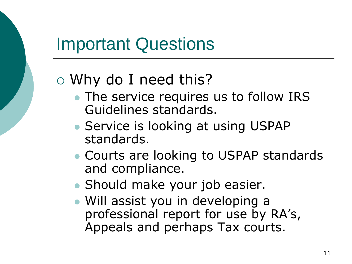### Important Questions

#### Why do I need this?

- The service requires us to follow IRS Guidelines standards.
- Service is looking at using USPAP standards.
- Courts are looking to USPAP standards and compliance.
- Should make your job easier.
- Will assist you in developing a professional report for use by RA's, Appeals and perhaps Tax courts.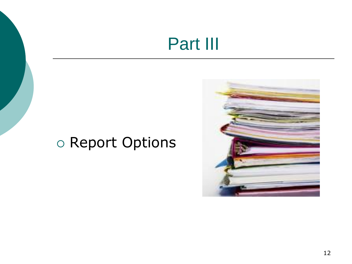## Part III

#### o Report Options

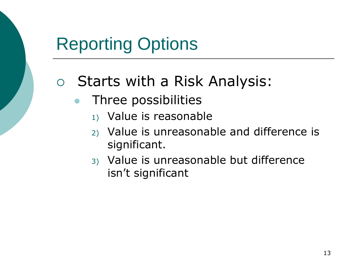#### Starts with a Risk Analysis:

- Three possibilities
	- 1) Value is reasonable
	- 2) Value is unreasonable and difference is significant.
	- 3) Value is unreasonable but difference isn't significant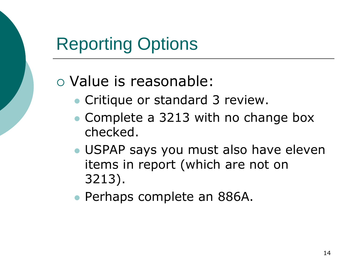#### Value is reasonable:

- Critique or standard 3 review.
- Complete a 3213 with no change box checked.
- USPAP says you must also have eleven items in report (which are not on 3213).
- Perhaps complete an 886A.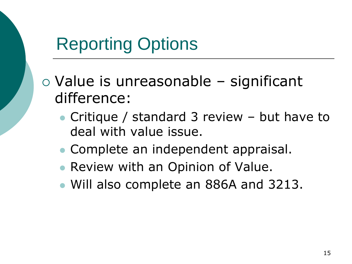$\circ$  Value is unreasonable – significant difference:

- Critique / standard 3 review but have to deal with value issue.
- Complete an independent appraisal.
- Review with an Opinion of Value.
- Will also complete an 886A and 3213.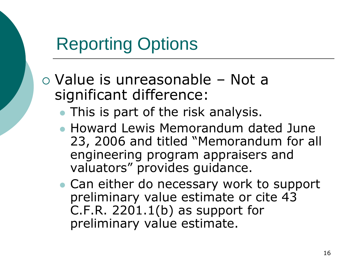Value is unreasonable – Not a significant difference:

- This is part of the risk analysis.
- Howard Lewis Memorandum dated June 23, 2006 and titled "Memorandum for all engineering program appraisers and valuators" provides guidance.
- Can either do necessary work to support preliminary value estimate or cite 43 C.F.R. 2201.1(b) as support for preliminary value estimate.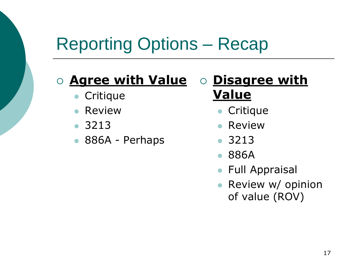# Reporting Options – Recap

#### **Agree with Value**

- **Critique**
- Review
- 3213
- 886A Perhaps

#### **Disagree with Value**

- **Critique**
- Review
- 3213
- 886A
- **Full Appraisal**
- Review w/ opinion of value (ROV)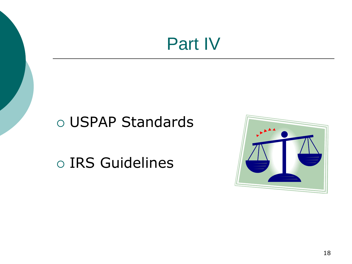### Part IV

#### USPAP Standards

o IRS Guidelines

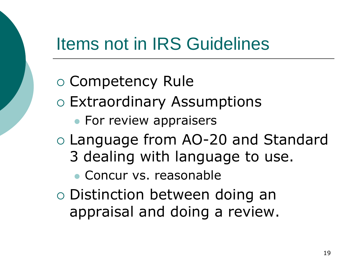### Items not in IRS Guidelines

 Competency Rule Extraordinary Assumptions • For review appraisers Language from AO-20 and Standard 3 dealing with language to use. Concur vs. reasonable Distinction between doing an appraisal and doing a review.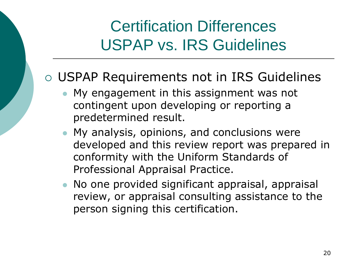#### Certification Differences USPAP vs. IRS Guidelines

#### USPAP Requirements not in IRS Guidelines

- My engagement in this assignment was not contingent upon developing or reporting a predetermined result.
- My analysis, opinions, and conclusions were developed and this review report was prepared in conformity with the Uniform Standards of Professional Appraisal Practice.
- No one provided significant appraisal, appraisal review, or appraisal consulting assistance to the person signing this certification.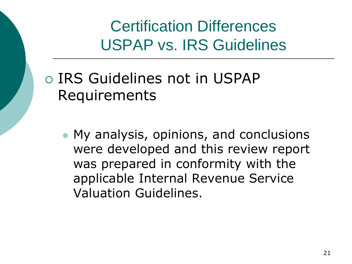Certification Differences USPAP vs. IRS Guidelines

#### IRS Guidelines not in USPAP Requirements

 My analysis, opinions, and conclusions were developed and this review report was prepared in conformity with the applicable Internal Revenue Service Valuation Guidelines.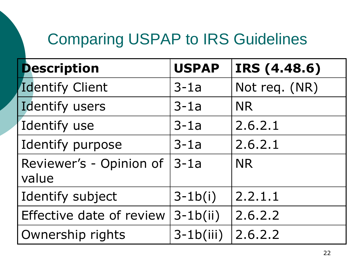| <b>Description</b>               | <b>USPAP</b> | IRS (4.48.6)  |
|----------------------------------|--------------|---------------|
| <b>Identify Client</b>           | $3-1a$       | Not req. (NR) |
| Identify users                   | $3-1a$       | <b>NR</b>     |
| Identify use                     | $3-1a$       | 2.6.2.1       |
| Identify purpose                 | $3-1a$       | 2.6.2.1       |
| Reviewer's - Opinion of<br>value | $3-1a$       | <b>NR</b>     |
| Identify subject                 | $3 - 1b(i)$  | 2.2.1.1       |
| Effective date of review         | $3-1b(ii)$   | 2.6.2.2       |
| Ownership rights                 | $3-1b(iii)$  | 2.6.2.2       |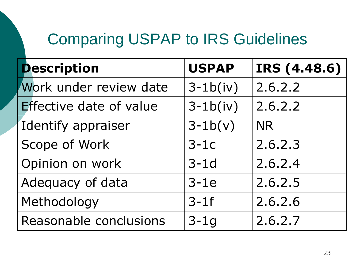| <b>Description</b>      | <b>USPAP</b> | IRS (4.48.6) |
|-------------------------|--------------|--------------|
| Work under review date  | $3-1b(iv)$   | 2.6.2.2      |
| Effective date of value | $3-1b(iv)$   | 2.6.2.2      |
| Identify appraiser      | $3-1b(v)$    | <b>NR</b>    |
| Scope of Work           | $3-1c$       | 2.6.2.3      |
| Opinion on work         | $3-1d$       | 2.6.2.4      |
| Adequacy of data        | $3-1e$       | 2.6.2.5      |
| Methodology             | $3-1f$       | 2.6.2.6      |
| Reasonable conclusions  | $3-1q$       | 2.6.2.7      |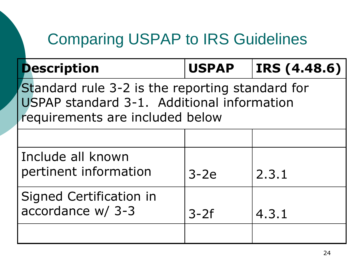**Description USPAP IRS (4.48.6)**

Standard rule 3-2 is the reporting standard for USPAP standard 3-1. Additional information requirements are included below

| Include all known<br>pertinent information   | $3-2e$ | 2.3.1 |
|----------------------------------------------|--------|-------|
| Signed Certification in<br>accordance w/ 3-3 | $3-2f$ | 4.3.1 |
|                                              |        |       |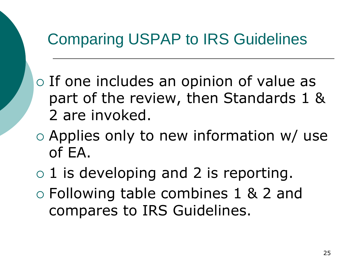- $\circ$  If one includes an opinion of value as part of the review, then Standards 1 & 2 are invoked.
- Applies only to new information w/ use of EA.
- $\circ$  1 is developing and 2 is reporting. Following table combines 1 & 2 and compares to IRS Guidelines.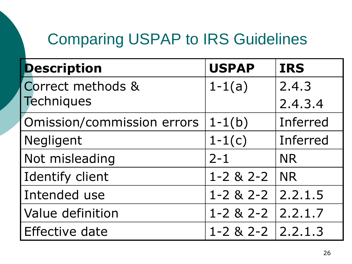| <b>Description</b>         | <b>USPAP</b>              | <b>IRS</b> |
|----------------------------|---------------------------|------------|
| Correct methods &          | $1 - 1(a)$                | 2.4.3      |
| <b>Techniques</b>          |                           | 2.4.3.4    |
| Omission/commission errors | $1 - 1(b)$                | Inferred   |
| Negligent                  | $1 - 1(c)$                | Inferred   |
| Not misleading             | $2 - 1$                   | <b>NR</b>  |
| <b>Identify client</b>     | $1 - 2 & 2 - 2$           | <b>NR</b>  |
| Intended use               | $1 - 2 & 2 - 2$           | 2.2.1.5    |
| <b>Value definition</b>    | $1 - 2 & 2 - 2 & 2.2.1.7$ |            |
| <b>Effective date</b>      | $1 - 2 & 2 - 2 & 2.2.1.3$ |            |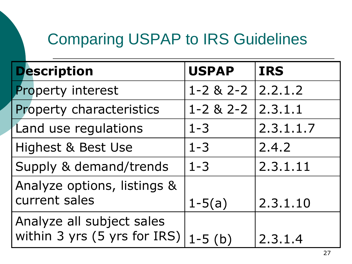| <b>Description</b>                                        | <b>USPAP</b>    | <b>IRS</b> |
|-----------------------------------------------------------|-----------------|------------|
| <b>Property interest</b>                                  | $1 - 2 & 2 - 2$ | 2.2.1.2    |
| Property characteristics                                  | $1 - 2 & 2 - 2$ | 2.3.1.1    |
| Land use regulations                                      | $1 - 3$         | 2.3.1.1.7  |
| Highest & Best Use                                        | $1 - 3$         | 2.4.2      |
| Supply & demand/trends                                    | $1 - 3$         | 2.3.1.11   |
| Analyze options, listings &                               |                 |            |
| current sales                                             | $1 - 5(a)$      | 2.3.1.10   |
| Analyze all subject sales<br>within 3 yrs (5 yrs for IRS) | $1 - 5$ (b)     | 2.3.1.4    |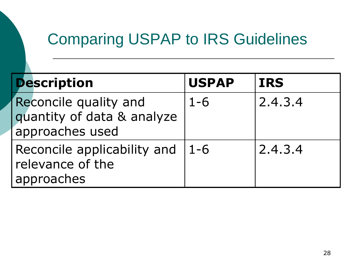| <b>Description</b>                                                     | <b>USPAP</b> | <b>IRS</b> |
|------------------------------------------------------------------------|--------------|------------|
| Reconcile quality and<br>quantity of data & analyze<br>approaches used | $1 - 6$      | 2.4.3.4    |
| Reconcile applicability and<br>relevance of the<br>approaches          | $1 - 6$      | 2.4.3.4    |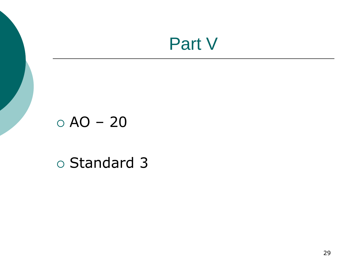### Part V

#### $\circ$  AO – 20

#### o Standard 3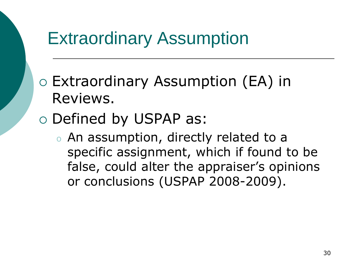- Extraordinary Assumption (EA) in Reviews.
- o Defined by USPAP as:
	- o An assumption, directly related to a specific assignment, which if found to be false, could alter the appraiser's opinions or conclusions (USPAP 2008-2009).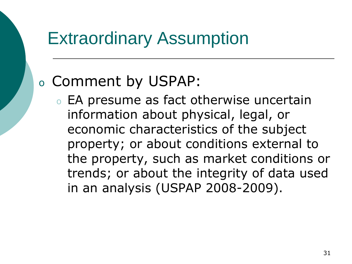#### <sup>o</sup> Comment by USPAP:

o EA presume as fact otherwise uncertain information about physical, legal, or economic characteristics of the subject property; or about conditions external to the property, such as market conditions or trends; or about the integrity of data used in an analysis (USPAP 2008-2009).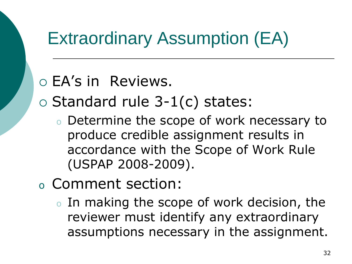EA's in Reviews.

 $\circ$  Standard rule 3-1(c) states:

- o Determine the scope of work necessary to produce credible assignment results in accordance with the Scope of Work Rule (USPAP 2008-2009).
- <sup>o</sup> Comment section:
	- o In making the scope of work decision, the reviewer must identify any extraordinary assumptions necessary in the assignment.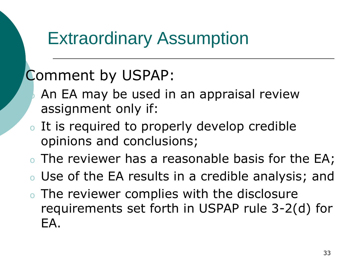#### Comment by USPAP:

- An EA may be used in an appraisal review assignment only if:
- o It is required to properly develop credible opinions and conclusions;
- o The reviewer has a reasonable basis for the EA;
- o Use of the EA results in a credible analysis; and
- o The reviewer complies with the disclosure requirements set forth in USPAP rule 3-2(d) for EA.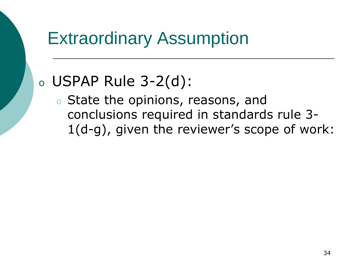#### <sup>o</sup> USPAP Rule 3-2(d):

o State the opinions, reasons, and conclusions required in standards rule 3- 1(d-g), given the reviewer's scope of work: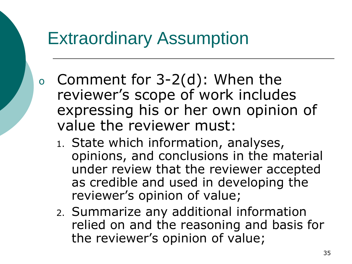- <sup>o</sup> Comment for 3-2(d): When the reviewer's scope of work includes expressing his or her own opinion of value the reviewer must:
	- 1. State which information, analyses, opinions, and conclusions in the material under review that the reviewer accepted as credible and used in developing the reviewer's opinion of value;
	- 2. Summarize any additional information relied on and the reasoning and basis for the reviewer's opinion of value;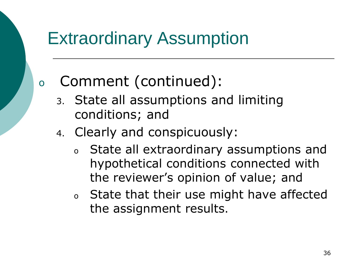#### <sup>o</sup> Comment (continued):

- 3. State all assumptions and limiting conditions; and
- 4. Clearly and conspicuously:
	- <sup>o</sup> State all extraordinary assumptions and hypothetical conditions connected with the reviewer's opinion of value; and
	- <sup>o</sup> State that their use might have affected the assignment results.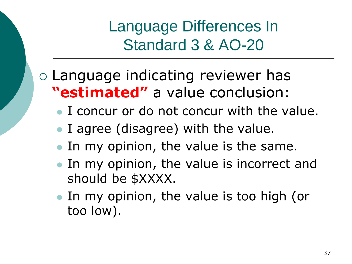## Language indicating reviewer has **"estimated"** a value conclusion:

- I concur or do not concur with the value.
- I agree (disagree) with the value.
- In my opinion, the value is the same.
- In my opinion, the value is incorrect and should be \$XXXX.
- In my opinion, the value is too high (or too low).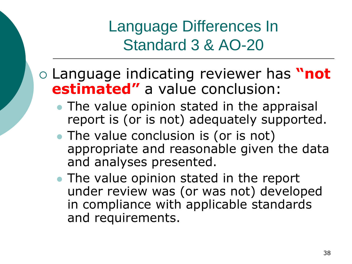## Language indicating reviewer has **"not estimated"** a value conclusion:

- The value opinion stated in the appraisal report is (or is not) adequately supported.
- The value conclusion is (or is not) appropriate and reasonable given the data and analyses presented.
- The value opinion stated in the report under review was (or was not) developed in compliance with applicable standards and requirements.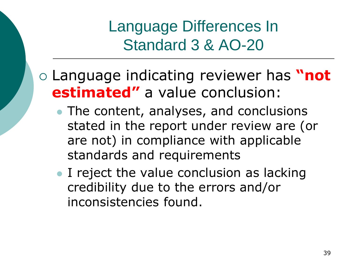## Language indicating reviewer has **"not estimated"** a value conclusion:

- The content, analyses, and conclusions stated in the report under review are (or are not) in compliance with applicable standards and requirements
- I reject the value conclusion as lacking credibility due to the errors and/or inconsistencies found.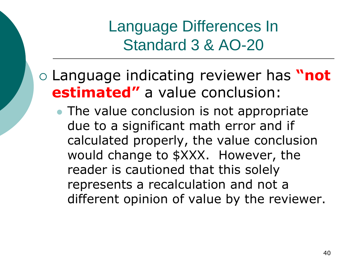## Language indicating reviewer has **"not estimated"** a value conclusion:

• The value conclusion is not appropriate due to a significant math error and if calculated properly, the value conclusion would change to \$XXX. However, the reader is cautioned that this solely represents a recalculation and not a different opinion of value by the reviewer.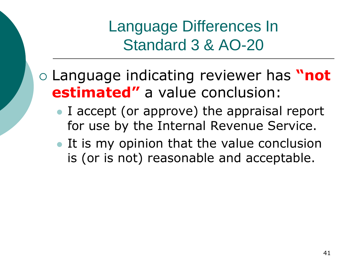## Language indicating reviewer has **"not estimated"** a value conclusion:

- I accept (or approve) the appraisal report for use by the Internal Revenue Service.
- It is my opinion that the value conclusion is (or is not) reasonable and acceptable.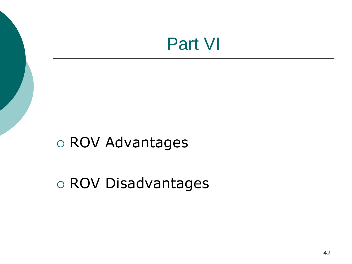## Part VI

## ROV Advantages

## ROV Disadvantages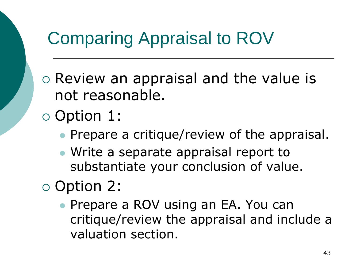$\circ$  Review an appraisal and the value is not reasonable.

Option 1:

- Prepare a critique/review of the appraisal.
- Write a separate appraisal report to substantiate your conclusion of value.

Option 2:

**• Prepare a ROV using an EA. You can** critique/review the appraisal and include a valuation section.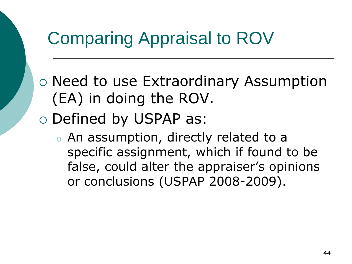- Need to use Extraordinary Assumption (EA) in doing the ROV.
- Defined by USPAP as:
	- o An assumption, directly related to a specific assignment, which if found to be false, could alter the appraiser's opinions or conclusions (USPAP 2008-2009).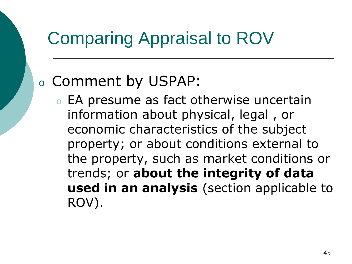## <sup>o</sup> Comment by USPAP:

o EA presume as fact otherwise uncertain information about physical, legal , or economic characteristics of the subject property; or about conditions external to the property, such as market conditions or trends; or **about the integrity of data used in an analysis** (section applicable to ROV).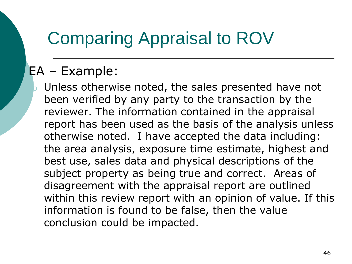### EA – Example:

 $\bullet$  Unless otherwise noted, the sales presented have not been verified by any party to the transaction by the reviewer. The information contained in the appraisal report has been used as the basis of the analysis unless otherwise noted. I have accepted the data including: the area analysis, exposure time estimate, highest and best use, sales data and physical descriptions of the subject property as being true and correct. Areas of disagreement with the appraisal report are outlined within this review report with an opinion of value. If this information is found to be false, then the value conclusion could be impacted.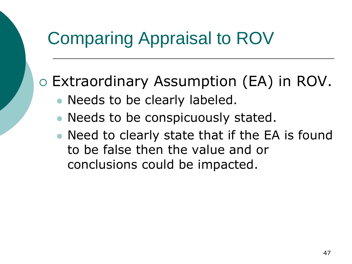Extraordinary Assumption (EA) in ROV.

- Needs to be clearly labeled.
- Needs to be conspicuously stated.
- Need to clearly state that if the EA is found to be false then the value and or conclusions could be impacted.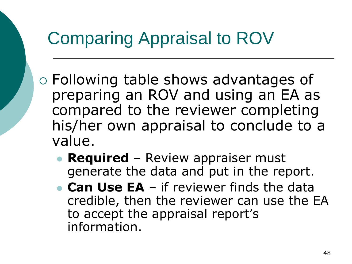- Following table shows advantages of preparing an ROV and using an EA as compared to the reviewer completing his/her own appraisal to conclude to a value.
	- **Required** Review appraiser must generate the data and put in the report.
	- **Can Use EA** if reviewer finds the data credible, then the reviewer can use the EA to accept the appraisal report's information.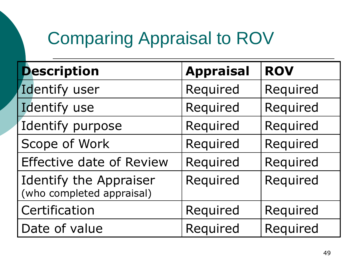| <b>Description</b>                                         | <b>Appraisal</b> | <b>ROV</b> |
|------------------------------------------------------------|------------------|------------|
| Identify user                                              | Required         | Required   |
| Identify use                                               | Required         | Required   |
| Identify purpose                                           | Required         | Required   |
| Scope of Work                                              | Required         | Required   |
| <b>Effective date of Review</b>                            | Required         | Required   |
| <b>Identify the Appraiser</b><br>(who completed appraisal) | Required         | Required   |
| Certification                                              | Required         | Required   |
| Date of value                                              | Required         | Required   |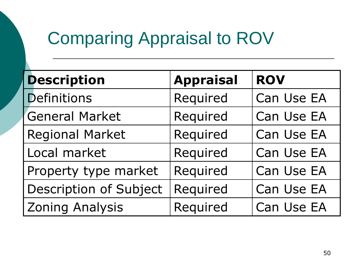| <b>Description</b>            | <b>Appraisal</b> | <b>ROV</b> |
|-------------------------------|------------------|------------|
| <b>Definitions</b>            | Required         | Can Use EA |
| <b>General Market</b>         | Required         | Can Use EA |
| <b>Regional Market</b>        | Required         | Can Use EA |
| Local market                  | Required         | Can Use EA |
| Property type market          | Required         | Can Use EA |
| <b>Description of Subject</b> | Required         | Can Use EA |
| <b>Zoning Analysis</b>        | Required         | Can Use EA |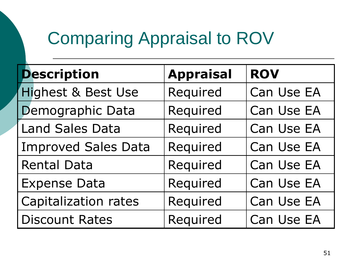| <b>Description</b>            | <b>Appraisal</b> | <b>ROV</b> |
|-------------------------------|------------------|------------|
| <b>Highest &amp; Best Use</b> | Required         | Can Use EA |
| Demographic Data              | Required         | Can Use EA |
| <b>Land Sales Data</b>        | Required         | Can Use EA |
| <b>Improved Sales Data</b>    | Required         | Can Use EA |
| <b>Rental Data</b>            | Required         | Can Use EA |
| <b>Expense Data</b>           | Required         | Can Use EA |
| Capitalization rates          | Required         | Can Use EA |
| <b>Discount Rates</b>         | Required         | Can Use EA |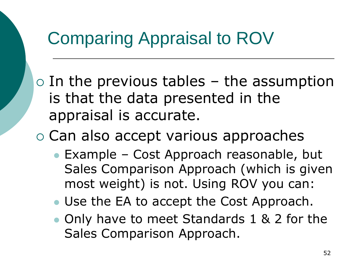$\circ$  In the previous tables – the assumption is that the data presented in the appraisal is accurate.

 $\circ$  Can also accept various approaches

- **Example Cost Approach reasonable, but** Sales Comparison Approach (which is given most weight) is not. Using ROV you can:
- Use the EA to accept the Cost Approach.
- Only have to meet Standards 1 & 2 for the Sales Comparison Approach.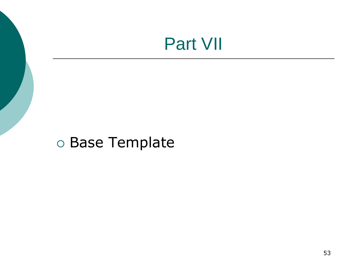## Part VII

## Base Template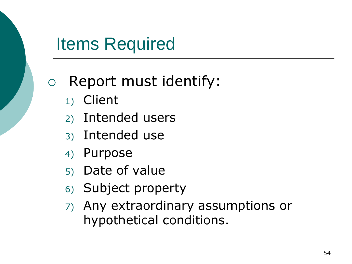## Items Required

## Report must identify:

- 1) Client
- 2) Intended users
- 3) Intended use
- 4) Purpose
- 5) Date of value
- 6) Subject property
- 7) Any extraordinary assumptions or hypothetical conditions.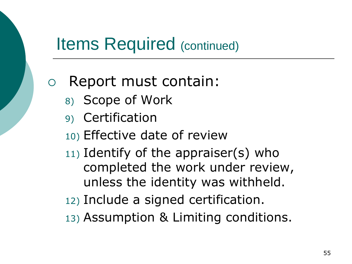## Items Required (continued)

## Report must contain:

- 8) Scope of Work
- 9) Certification
- 10) Effective date of review
- $11)$  Identify of the appraiser(s) who completed the work under review, unless the identity was withheld.
- 12) Include a signed certification.
- 13) Assumption & Limiting conditions.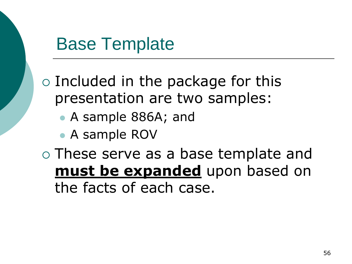## Base Template

 $\circ$  Included in the package for this presentation are two samples:

- A sample 886A; and
- A sample ROV

 These serve as a base template and **must be expanded** upon based on the facts of each case.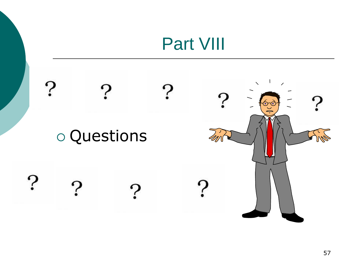# Part VIII

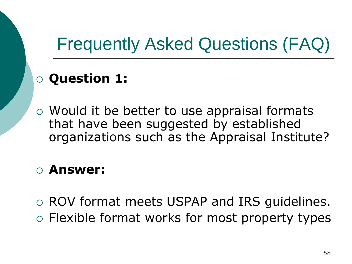# Frequently Asked Questions (FAQ)

### **Question 1:**

 Would it be better to use appraisal formats that have been suggested by established organizations such as the Appraisal Institute?

### **Answer:**

 ROV format meets USPAP and IRS guidelines. Flexible format works for most property types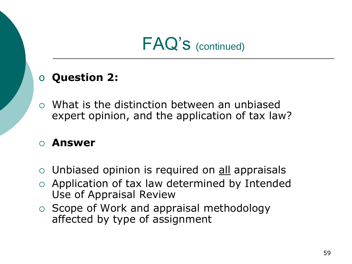#### o **Question 2:**

 What is the distinction between an unbiased expert opinion, and the application of tax law?

- $\circ$  Unbiased opinion is required on all appraisals
- $\circ$  Application of tax law determined by Intended Use of Appraisal Review
- $\circ$  Scope of Work and appraisal methodology affected by type of assignment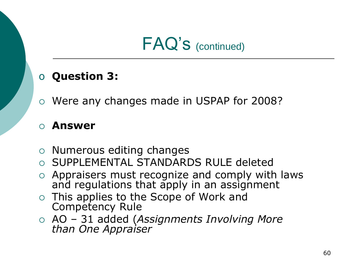#### o **Question 3:**

Were any changes made in USPAP for 2008?

- $\circ$  Numerous editing changes
- o SUPPLEMENTAL STANDARDS RULE deleted
- $\circ$  Appraisers must recognize and comply with laws and regulations that apply in an assignment
- This applies to the Scope of Work and Competency Rule
- AO 31 added (*Assignments Involving More than One Appraiser*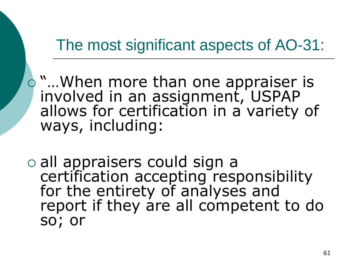## The most significant aspects of AO-31:

- **o** "... When more than one appraiser is involved in an assignment, USPAP allows for certification in a variety of ways, including:
- all appraisers could sign a certification accepting responsibility for the entirety of analyses and report if they are all competent to do so; or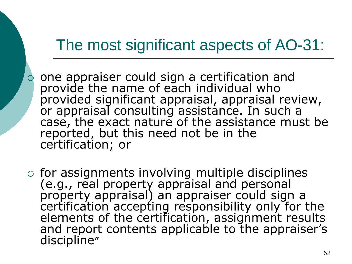## The most significant aspects of AO-31:

- one appraiser could sign a certification and provide the name of each individual who provided significant appraisal, appraisal review, or appraisal consulting assistance. In such a case, the exact nature of the assistance must be reported, but this need not be in the certification; or
- $\circ$  for assignments involving multiple disciplines (e.g., real property appraisal and personal property appraisal) an appraiser could sign a certification accepting responsibility only for the elements of the certification, assignment results and report contents applicable to the appraiser's discipline"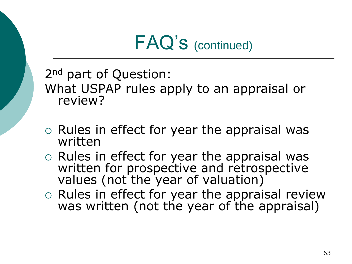2<sup>nd</sup> part of Question: What USPAP rules apply to an appraisal or review?

- $\circ$  Rules in effect for year the appraisal was written
- $\circ$  Rules in effect for year the appraisal was written for prospective and retrospective values (not the year of valuation)
- o Rules in effect for year the appraisal review was written (not the year of the appraisal)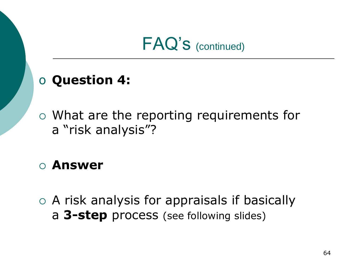### o **Question 4:**

 What are the reporting requirements for a "risk analysis"?

### **Answer**

 A risk analysis for appraisals if basically a **3-step** process (see following slides)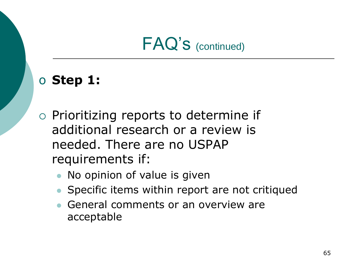### o **Step 1:**

- $\circ$  Prioritizing reports to determine if additional research or a review is needed. There are no USPAP requirements if:
	- No opinion of value is given
	- Specific items within report are not critiqued
	- General comments or an overview are acceptable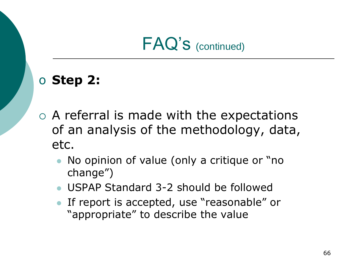### o **Step 2:**

- A referral is made with the expectations of an analysis of the methodology, data, etc.
	- No opinion of value (only a critique or "no change")
	- USPAP Standard 3-2 should be followed
	- If report is accepted, use "reasonable" or "appropriate" to describe the value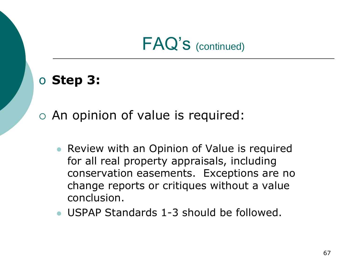### o **Step 3:**

### An opinion of value is required:

- Review with an Opinion of Value is required for all real property appraisals, including conservation easements. Exceptions are no change reports or critiques without a value conclusion.
- USPAP Standards 1-3 should be followed.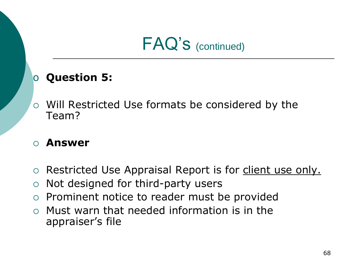#### o **Question 5:**

 Will Restricted Use formats be considered by the Team?

- o Restricted Use Appraisal Report is for client use only.
- $\circ$  Not designed for third-party users
- $\circ$  Prominent notice to reader must be provided
- $\circ$  Must warn that needed information is in the appraiser's file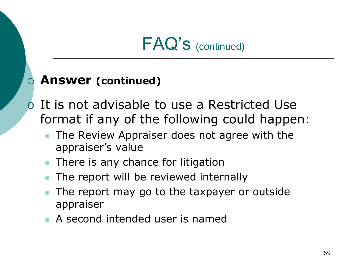#### **Answer (continued)**

- o It is not advisable to use a Restricted Use format if any of the following could happen:
	- The Review Appraiser does not agree with the appraiser's value
	- There is any chance for litigation
	- The report will be reviewed internally
	- The report may go to the taxpayer or outside appraiser
	- A second intended user is named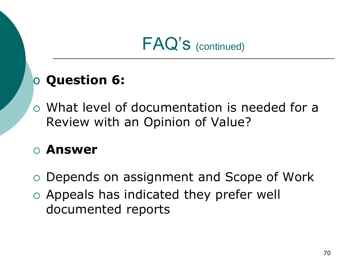## o **Question 6:**

 What level of documentation is needed for a Review with an Opinion of Value?

- Depends on assignment and Scope of Work
- Appeals has indicated they prefer well documented reports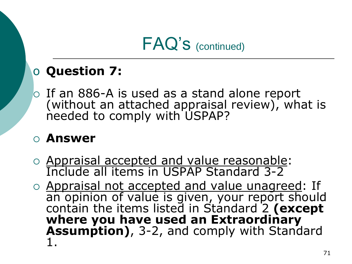### o **Question 7:**

 $\circ$  If an 886-A is used as a stand alone report (without an attached appraisal review), what is needed to comply with USPAP?

- o Appraisal accepted and value reasonable: Include all items in USPAP Standard 3-2
- o Appraisal not accepted and value unagreed: If an opinion of value is given, your report should contain the items listed in Standard 2 (except **where you have used an Extraordinary Assumption)**, 3-2, and comply with Standard 1.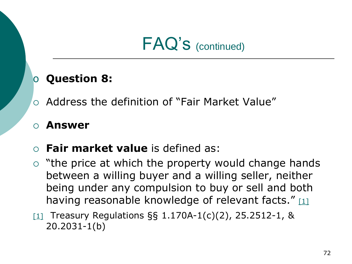#### o **Question 8:**

 $\circ$  Address the definition of "Fair Market Value"

- **Fair market value** is defined as:
- $\circ$  "the price at which the property would change hands between a willing buyer and a willing seller, neither being under any compulsion to buy or sell and both having reasonable knowledge of relevant facts." [1]
- [1] Treasury Regulations  $\S$ § 1.170A-1(c)(2), 25.2512-1, & 20.2031-1(b)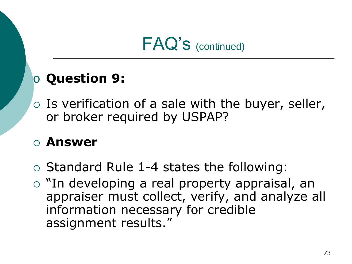### o **Question 9:**

 $\circ$  Is verification of a sale with the buyer, seller, or broker required by USPAP?

- $\circ$  Standard Rule 1-4 states the following:
- o "In developing a real property appraisal, an appraiser must collect, verify, and analyze all information necessary for credible assignment results."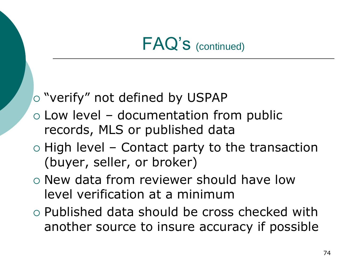### "verify" not defined by USPAP

- $\circ$  Low level documentation from public records, MLS or published data
- $\circ$  High level Contact party to the transaction (buyer, seller, or broker)
- o New data from reviewer should have low level verification at a minimum
- Published data should be cross checked with another source to insure accuracy if possible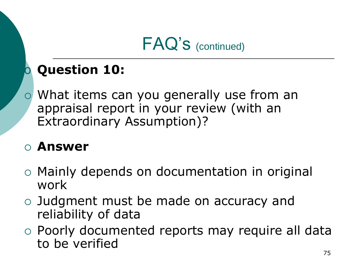## **Question 10:**

 What items can you generally use from an appraisal report in your review (with an Extraordinary Assumption)?

- Mainly depends on documentation in original work
- Judgment must be made on accuracy and reliability of data
- Poorly documented reports may require all data to be verified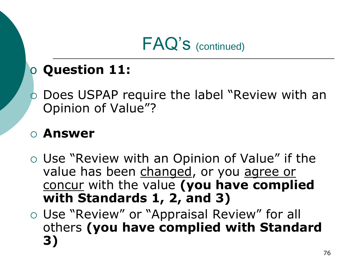### o **Question 11:**

o Does USPAP require the label "Review with an Opinion of Value"?

- Use "Review with an Opinion of Value" if the value has been changed, or you agree or concur with the value **(you have complied with Standards 1, 2, and 3)**
- Use "Review" or "Appraisal Review" for all others **(you have complied with Standard 3)**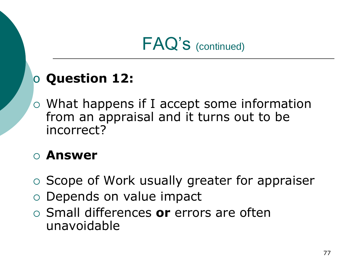### o **Question 12:**

 What happens if I accept some information from an appraisal and it turns out to be incorrect?

- o Scope of Work usually greater for appraiser
- Depends on value impact
- Small differences **or** errors are often unavoidable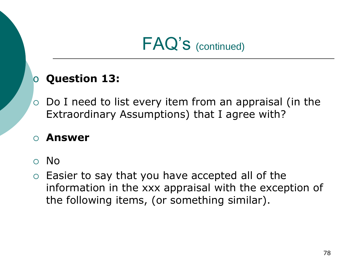#### o **Question 13:**

 $\circ$  Do I need to list every item from an appraisal (in the Extraordinary Assumptions) that I agree with?

- No
- $\circ$  Easier to say that you have accepted all of the information in the xxx appraisal with the exception of the following items, (or something similar).